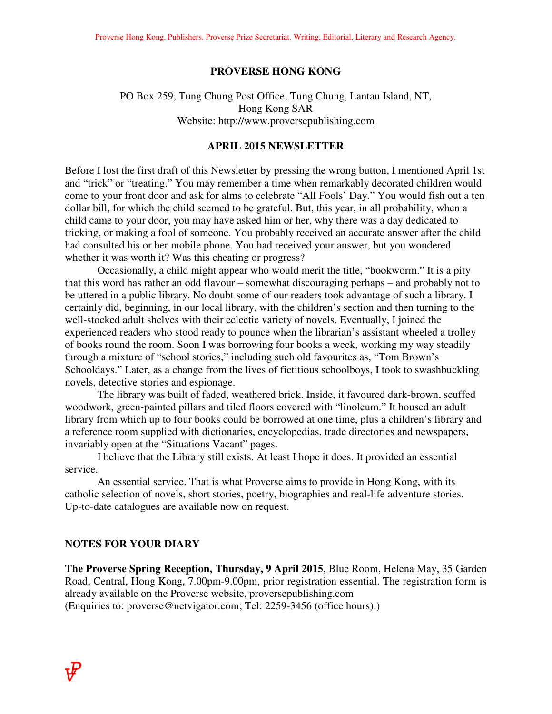#### **PROVERSE HONG KONG**

# PO Box 259, Tung Chung Post Office, Tung Chung, Lantau Island, NT, Hong Kong SAR Website: http://www.proversepublishing.com

#### **APRIL 2015 NEWSLETTER**

Before I lost the first draft of this Newsletter by pressing the wrong button, I mentioned April 1st and "trick" or "treating." You may remember a time when remarkably decorated children would come to your front door and ask for alms to celebrate "All Fools' Day." You would fish out a ten dollar bill, for which the child seemed to be grateful. But, this year, in all probability, when a child came to your door, you may have asked him or her, why there was a day dedicated to tricking, or making a fool of someone. You probably received an accurate answer after the child had consulted his or her mobile phone. You had received your answer, but you wondered whether it was worth it? Was this cheating or progress?

 Occasionally, a child might appear who would merit the title, "bookworm." It is a pity that this word has rather an odd flavour – somewhat discouraging perhaps – and probably not to be uttered in a public library. No doubt some of our readers took advantage of such a library. I certainly did, beginning, in our local library, with the children's section and then turning to the well-stocked adult shelves with their eclectic variety of novels. Eventually, I joined the experienced readers who stood ready to pounce when the librarian's assistant wheeled a trolley of books round the room. Soon I was borrowing four books a week, working my way steadily through a mixture of "school stories," including such old favourites as, "Tom Brown's Schooldays." Later, as a change from the lives of fictitious schoolboys, I took to swashbuckling novels, detective stories and espionage.

 The library was built of faded, weathered brick. Inside, it favoured dark-brown, scuffed woodwork, green-painted pillars and tiled floors covered with "linoleum." It housed an adult library from which up to four books could be borrowed at one time, plus a children's library and a reference room supplied with dictionaries, encyclopedias, trade directories and newspapers, invariably open at the "Situations Vacant" pages.

 I believe that the Library still exists. At least I hope it does. It provided an essential service.

 An essential service. That is what Proverse aims to provide in Hong Kong, with its catholic selection of novels, short stories, poetry, biographies and real-life adventure stories. Up-to-date catalogues are available now on request.

## **NOTES FOR YOUR DIARY**

**The Proverse Spring Reception, Thursday, 9 April 2015**, Blue Room, Helena May, 35 Garden Road, Central, Hong Kong, 7.00pm-9.00pm, prior registration essential. The registration form is already available on the Proverse website, proversepublishing.com (Enquiries to: proverse@netvigator.com; Tel: 2259-3456 (office hours).)